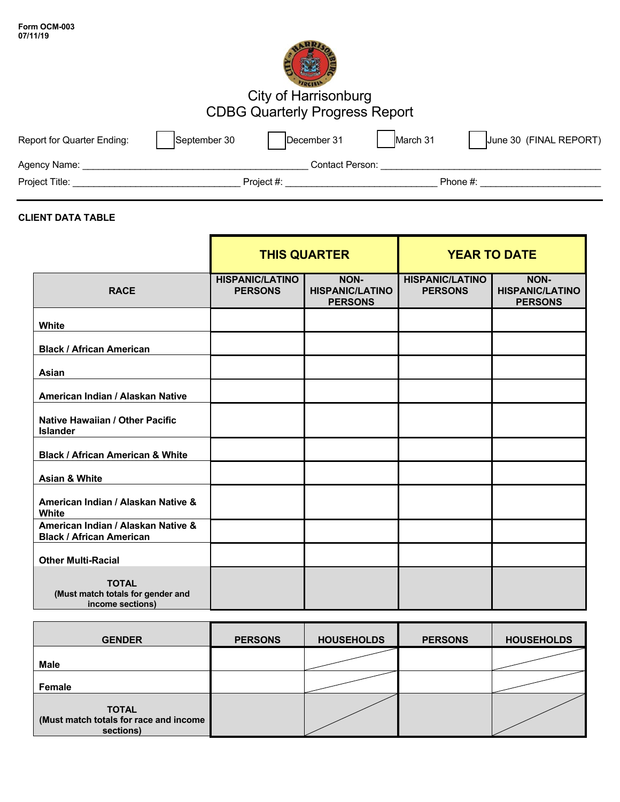| Form OCM-003 |  |
|--------------|--|
| 07/11/19     |  |



# City of Harrisonburg CDBG Quarterly Progress Report

| Report for Quarter Ending: | September 30 | December 31     | March 31 | June 30 (FINAL REPORT) |
|----------------------------|--------------|-----------------|----------|------------------------|
| Agency Name:               |              | Contact Person: |          |                        |
| Project Title:             |              | Project #:      |          | Phone #:               |

## **CLIENT DATA TABLE**

|                                                                       | <b>THIS QUARTER</b>                      |                                                  | <b>YEAR TO DATE</b>                      |                                                  |
|-----------------------------------------------------------------------|------------------------------------------|--------------------------------------------------|------------------------------------------|--------------------------------------------------|
| <b>RACE</b>                                                           | <b>HISPANIC/LATINO</b><br><b>PERSONS</b> | NON-<br><b>HISPANIC/LATINO</b><br><b>PERSONS</b> | <b>HISPANIC/LATINO</b><br><b>PERSONS</b> | NON-<br><b>HISPANIC/LATINO</b><br><b>PERSONS</b> |
| <b>White</b>                                                          |                                          |                                                  |                                          |                                                  |
| <b>Black / African American</b>                                       |                                          |                                                  |                                          |                                                  |
| Asian                                                                 |                                          |                                                  |                                          |                                                  |
| American Indian / Alaskan Native                                      |                                          |                                                  |                                          |                                                  |
| Native Hawaiian / Other Pacific<br><b>Islander</b>                    |                                          |                                                  |                                          |                                                  |
| <b>Black / African American &amp; White</b>                           |                                          |                                                  |                                          |                                                  |
| <b>Asian &amp; White</b>                                              |                                          |                                                  |                                          |                                                  |
| American Indian / Alaskan Native &<br><b>White</b>                    |                                          |                                                  |                                          |                                                  |
| American Indian / Alaskan Native &<br><b>Black / African American</b> |                                          |                                                  |                                          |                                                  |
| <b>Other Multi-Racial</b>                                             |                                          |                                                  |                                          |                                                  |
| <b>TOTAL</b><br>(Must match totals for gender and<br>income sections) |                                          |                                                  |                                          |                                                  |

| <b>GENDER</b>                                                       | <b>PERSONS</b> | <b>HOUSEHOLDS</b> | <b>PERSONS</b> | <b>HOUSEHOLDS</b> |
|---------------------------------------------------------------------|----------------|-------------------|----------------|-------------------|
| Male                                                                |                |                   |                |                   |
| Female                                                              |                |                   |                |                   |
| <b>TOTAL</b><br>(Must match totals for race and income<br>sections) |                |                   |                |                   |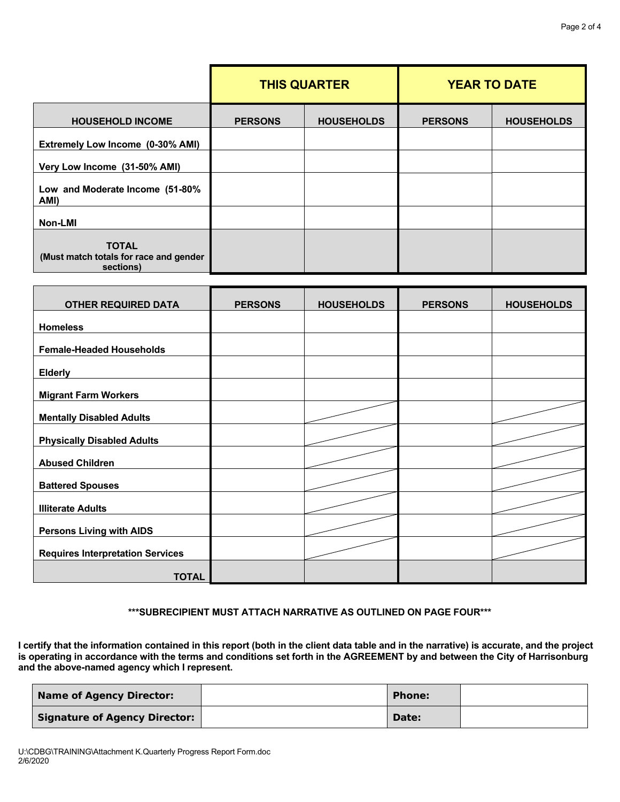|                                                                     | <b>THIS QUARTER</b> |                   | <b>YEAR TO DATE</b> |                   |
|---------------------------------------------------------------------|---------------------|-------------------|---------------------|-------------------|
| <b>HOUSEHOLD INCOME</b>                                             | <b>PERSONS</b>      | <b>HOUSEHOLDS</b> | <b>PERSONS</b>      | <b>HOUSEHOLDS</b> |
| Extremely Low Income (0-30% AMI)                                    |                     |                   |                     |                   |
| Very Low Income (31-50% AMI)                                        |                     |                   |                     |                   |
| Low and Moderate Income (51-80%<br>AMI)                             |                     |                   |                     |                   |
| Non-LMI                                                             |                     |                   |                     |                   |
| <b>TOTAL</b><br>(Must match totals for race and gender<br>sections) |                     |                   |                     |                   |

| <b>OTHER REQUIRED DATA</b>              | <b>PERSONS</b> | <b>HOUSEHOLDS</b> | <b>PERSONS</b> | <b>HOUSEHOLDS</b> |
|-----------------------------------------|----------------|-------------------|----------------|-------------------|
| <b>Homeless</b>                         |                |                   |                |                   |
| <b>Female-Headed Households</b>         |                |                   |                |                   |
| <b>Elderly</b>                          |                |                   |                |                   |
| <b>Migrant Farm Workers</b>             |                |                   |                |                   |
| <b>Mentally Disabled Adults</b>         |                |                   |                |                   |
| <b>Physically Disabled Adults</b>       |                |                   |                |                   |
| <b>Abused Children</b>                  |                |                   |                |                   |
| <b>Battered Spouses</b>                 |                |                   |                |                   |
| <b>Illiterate Adults</b>                |                |                   |                |                   |
| <b>Persons Living with AIDS</b>         |                |                   |                |                   |
| <b>Requires Interpretation Services</b> |                |                   |                |                   |
| <b>TOTAL</b>                            |                |                   |                |                   |

**\*\*\*SUBRECIPIENT MUST ATTACH NARRATIVE AS OUTLINED ON PAGE FOUR\*\*\*** 

**I certify that the information contained in this report (both in the client data table and in the narrative) is accurate, and the project is operating in accordance with the terms and conditions set forth in the AGREEMENT by and between the City of Harrisonburg and the above-named agency which I represent.** 

| Name of Agency Director:      | Phone: |  |
|-------------------------------|--------|--|
| Signature of Agency Director: | Date:  |  |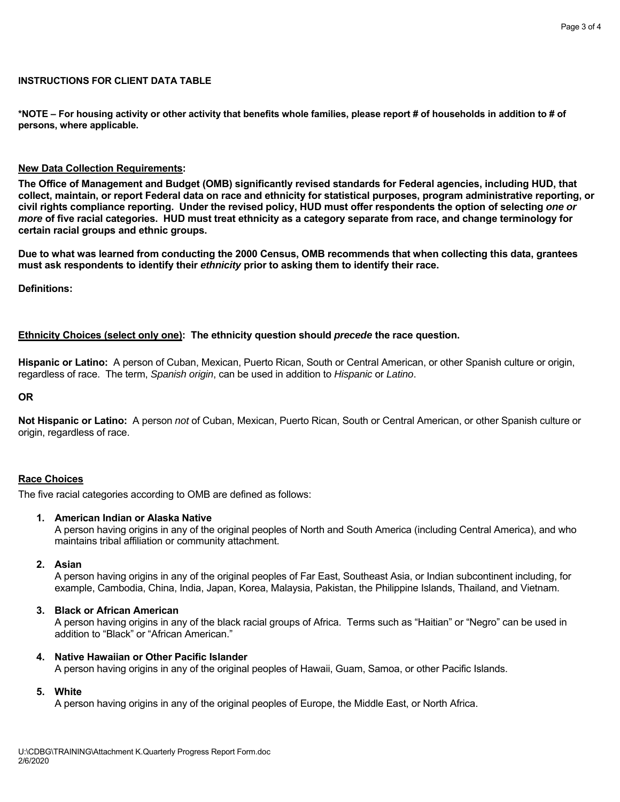## **INSTRUCTIONS FOR CLIENT DATA TABLE**

**\*NOTE – For housing activity or other activity that benefits whole families, please report # of households in addition to # of persons, where applicable.** 

### **New Data Collection Requirements:**

**The Office of Management and Budget (OMB) significantly revised standards for Federal agencies, including HUD, that collect, maintain, or report Federal data on race and ethnicity for statistical purposes, program administrative reporting, or civil rights compliance reporting. Under the revised policy, HUD must offer respondents the option of selecting** *one or more* **of five racial categories. HUD must treat ethnicity as a category separate from race, and change terminology for certain racial groups and ethnic groups.** 

**Due to what was learned from conducting the 2000 Census, OMB recommends that when collecting this data, grantees must ask respondents to identify their** *ethnicity* **prior to asking them to identify their race.** 

**Definitions:** 

## **Ethnicity Choices (select only one): The ethnicity question should** *precede* **the race question.**

**Hispanic or Latino:** A person of Cuban, Mexican, Puerto Rican, South or Central American, or other Spanish culture or origin, regardless of race. The term, *Spanish origin*, can be used in addition to *Hispanic* or *Latino*.

#### **OR**

**Not Hispanic or Latino:** A person *not* of Cuban, Mexican, Puerto Rican, South or Central American, or other Spanish culture or origin, regardless of race.

## **Race Choices**

The five racial categories according to OMB are defined as follows:

#### **1. American Indian or Alaska Native**

A person having origins in any of the original peoples of North and South America (including Central America), and who maintains tribal affiliation or community attachment.

## **2. Asian**

 A person having origins in any of the original peoples of Far East, Southeast Asia, or Indian subcontinent including, for example, Cambodia, China, India, Japan, Korea, Malaysia, Pakistan, the Philippine Islands, Thailand, and Vietnam.

#### **3. Black or African American**

A person having origins in any of the black racial groups of Africa. Terms such as "Haitian" or "Negro" can be used in addition to "Black" or "African American."

#### **4. Native Hawaiian or Other Pacific Islander**

A person having origins in any of the original peoples of Hawaii, Guam, Samoa, or other Pacific Islands.

### **5. White**

A person having origins in any of the original peoples of Europe, the Middle East, or North Africa.